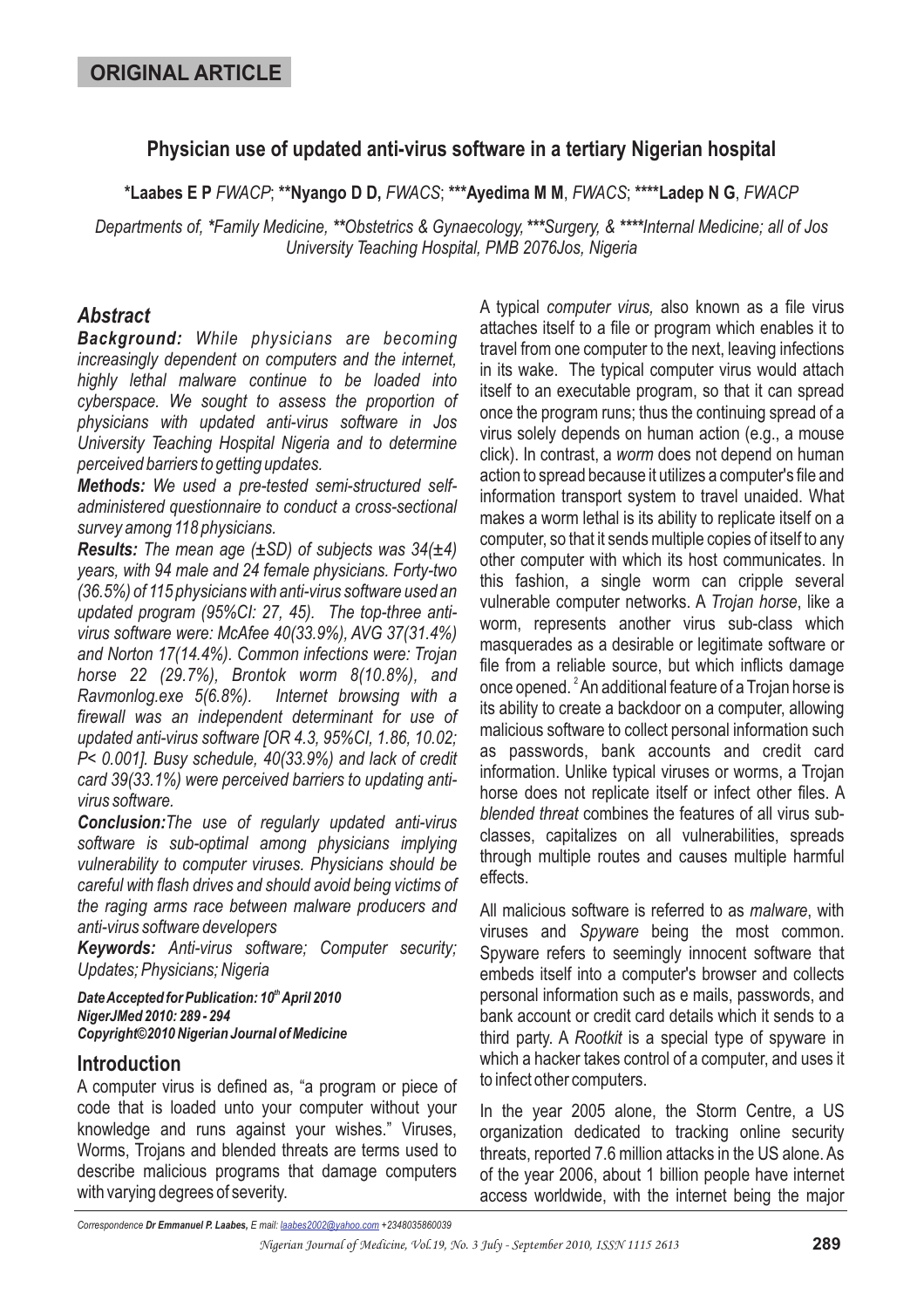# **Physician use of updated anti-virus software in a tertiary Nigerian hospital**

\*Laabes E P *FWACP*; \*\*Nyango D D, *FWACS*; \*\*\*Ayedima M M, *FWACS*; \*\*\*\*Ladep N G, *FWACP* 

Departments of, \*Family Medicine, \*\*Obstetrics & Gynaecology, \*\*\*Surgery, & \*\*\*\*Internal Medicine; all of Jos *University Teaching Hospital, PMB 2076Jos, Nigeria*

## *Abstract*

*Background: While physicians are becoming increasingly dependent on computers and the internet, highly lethal malware continue to be loaded into cyberspace. We sought to assess the proportion of physicians with updated anti-virus software in Jos University Teaching Hospital Nigeria and to determine perceived barriers to getting updates.*

*Methods: We used a pre-tested semi-structured selfadministered questionnaire to conduct a cross-sectional survey among 118 physicians.*

*Results: The mean age (±SD) of subjects was 34(±4) years, with 94 male and 24 female physicians. Forty-two (36.5%) of 115 physicians with anti-virus software used an updated program (95%CI: 27, 45). The top-three antivirus software were: McAfee 40(33.9%), AVG 37(31.4%) and Norton 17(14.4%). Common infections were: Trojan horse 22 (29.7%), Brontok worm 8(10.8%), and Ravmonlog.exe 5(6.8%). Internet browsing with a firewall was an independent determinant for use of updated anti-virus software [OR 4.3, 95%CI, 1.86, 10.02; P< 0.001]. Busy schedule, 40(33.9%) and lack of credit card 39(33.1%) were perceived barriers to updating antivirus software.*

*Conclusion: The use of regularly updated anti-virus software is sub-optimal among physicians implying vulnerability to computer viruses. Physicians should be careful with flash drives and should avoid being victims of the raging arms race between malware producers and anti-virus software developers*

*Keywords: Anti-virus software; Computer security; Updates; Physicians; Nigeria*

*Date Accepted for Publication: 10<sup>th</sup> April 2010 NigerJMed 2010: 289 - 294 Copyright©2010 Nigerian Journal of Medicine*

### **Introduction**

A computer virus is defined as, "a program or piece of code that is loaded unto your computer without your knowledge and runs against your wishes." Viruses, Worms, Trojans and blended threats are terms used to describe malicious programs that damage computers with varying degrees of severity.

A typical computer virus, also known as a file virus attaches itself to a file or program which enables it to travel from one computer to the next, leaving infections in its wake. The typical computer virus would attach itself to an executable program, so that it can spread once the program runs; thus the continuing spread of a virus solely depends on human action (e.g., a mouse click). In contrast, a *worm* does not depend on human action to spread because it utilizes a computer's file and information transport system to travel unaided. What makes a worm lethal is its ability to replicate itself on a computer, so that it sends multiple copies of itself to any other computer with which its host communicates. In this fashion, a single worm can cripple several vulnerable computer networks. A Trojan horse, like a worm, represents another virus sub-class which masquerades as a desirable or legitimate software or file from a reliable source, but which inflicts damage once opened.  $^{2}$  An additional feature of a Trojan horse is its ability to create a backdoor on a computer, allowing malicious software to collect personal information such as passwords, bank accounts and credit card information. Unlike typical viruses or worms, a Trojan horse does not replicate itself or infect other files. A blended threat combines the features of all virus subclasses, capitalizes on all vulnerabilities, spreads through multiple routes and causes multiple harmful effects.

All malicious software is referred to as *malware*, with viruses and Spyware being the most common. Spyware refers to seemingly innocent software that embeds itself into a computer's browser and collects personal information such as e mails, passwords, and bank account or credit card details which it sends to a third party. A Rootkit is a special type of spyware in which a hacker takes control of a computer, and uses it to infect other computers.

In the year 2005 alone, the Storm Centre, a US organization dedicated to tracking online security threats, reported 7.6 million attacks in the US alone. As of the year 2006, about 1 billion people have internet access worldwide, with the internet being the major

*Correspondence E mail: +2348035860039 Dr Emmanuel P. Laabes, laabes2002@yahoo.com*

*Nigerian Journal of Medicine, Vol.19, No. 3 July - September 2010, ISSN 1115 2613* **289**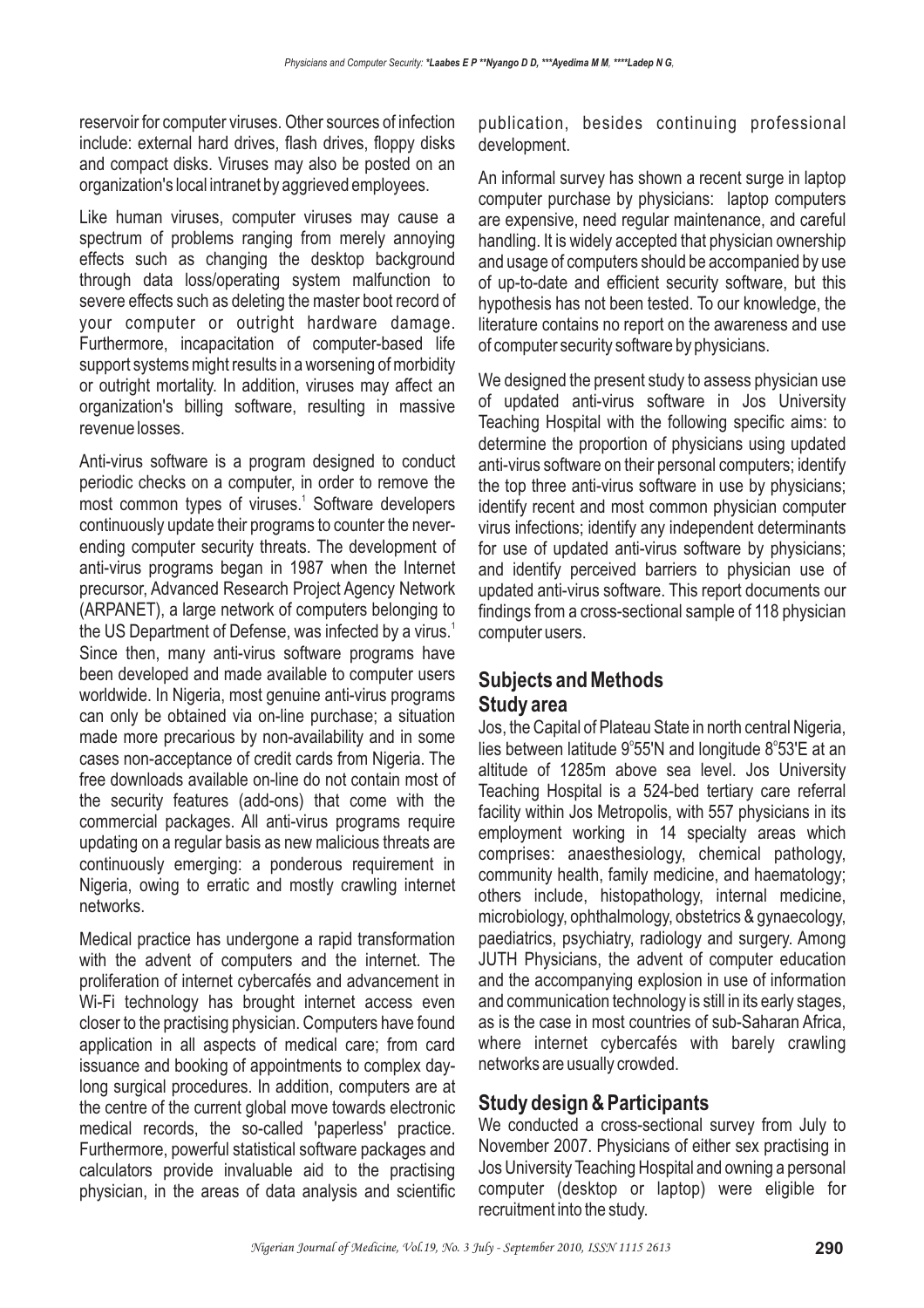reservoir for computer viruses. Other sources of infection include: external hard drives, flash drives, floppy disks and compact disks. Viruses may also be posted on an organization's local intranet by aggrieved employees.

Like human viruses, computer viruses may cause a spectrum of problems ranging from merely annoying effects such as changing the desktop background through data loss/operating system malfunction to severe effects such as deleting the master boot record of your computer or outright hardware damage. Furthermore, incapacitation of computer-based life support systems might results in a worsening of morbidity or outright mortality. In addition, viruses may affect an organization's billing software, resulting in massive revenue losses.

Anti-virus software is a program designed to conduct periodic checks on a computer, in order to remove the most common types of viruses.<sup>1</sup> Software developers continuously update their programs to counter the neverending computer security threats. The development of anti-virus programs began in 1987 when the Internet precursor, Advanced Research Project Agency Network (ARPANET), a large network of computers belonging to the US Department of Defense, was infected by a virus.<sup>1</sup> Since then, many anti-virus software programs have been developed and made available to computer users worldwide. In Nigeria, most genuine anti-virus programs can only be obtained via on-line purchase; a situation made more precarious by non-availability and in some cases non-acceptance of credit cards from Nigeria. The free downloads available on-line do not contain most of the security features (add-ons) that come with the commercial packages. All anti-virus programs require updating on a regular basis as new malicious threats are continuously emerging: a ponderous requirement in Nigeria, owing to erratic and mostly crawling internet networks.

Medical practice has undergone a rapid transformation with the advent of computers and the internet. The proliferation of internet cybercafés and advancement in Wi-Fi technology has brought internet access even closer to the practising physician. Computers have found application in all aspects of medical care; from card issuance and booking of appointments to complex daylong surgical procedures. In addition, computers are at the centre of the current global move towards electronic medical records, the so-called 'paperless' practice. Furthermore, powerful statistical software packages and calculators provide invaluable aid to the practising physician, in the areas of data analysis and scientific

publication, besides continuing professional development.

An informal survey has shown a recent surge in laptop computer purchase by physicians: laptop computers are expensive, need regular maintenance, and careful handling. It is widely accepted that physician ownership and usage of computers should be accompanied by use of up-to-date and efficient security software, but this hypothesis has not been tested. To our knowledge, the literature contains no report on the awareness and use of computer security software by physicians.

We designed the present study to assess physician use of updated anti-virus software in Jos University Teaching Hospital with the following specific aims: to determine the proportion of physicians using updated anti-virus software on their personal computers; identify the top three anti-virus software in use by physicians; identify recent and most common physician computer virus infections; identify any independent determinants for use of updated anti-virus software by physicians; and identify perceived barriers to physician use of updated anti-virus software. This report documents our findings from a cross-sectional sample of 118 physician computer users.

## **Subjects and Methods Study area**

Jos, the Capital of Plateau State in north central Nigeria, lies between latitude  $9^{\circ}55'N$  and longitude  $8^{\circ}53'E$  at an altitude of 1285m above sea level. Jos University Teaching Hospital is a 524-bed tertiary care referral facility within Jos Metropolis, with 557 physicians in its employment working in 14 specialty areas which comprises: anaesthesiology, chemical pathology, community health, family medicine, and haematology; others include, histopathology, internal medicine, microbiology, ophthalmology, obstetrics & gynaecology, paediatrics, psychiatry, radiology and surgery. Among JUTH Physicians, the advent of computer education and the accompanying explosion in use of information and communication technology is still in its early stages, as is the case in most countries of sub-Saharan Africa, where internet cybercafés with barely crawling networks are usually crowded.

# **Study design & Participants**

We conducted a cross-sectional survey from July to November 2007. Physicians of either sex practising in Jos University Teaching Hospital and owning a personal computer (desktop or laptop) were eligible for recruitment into the study.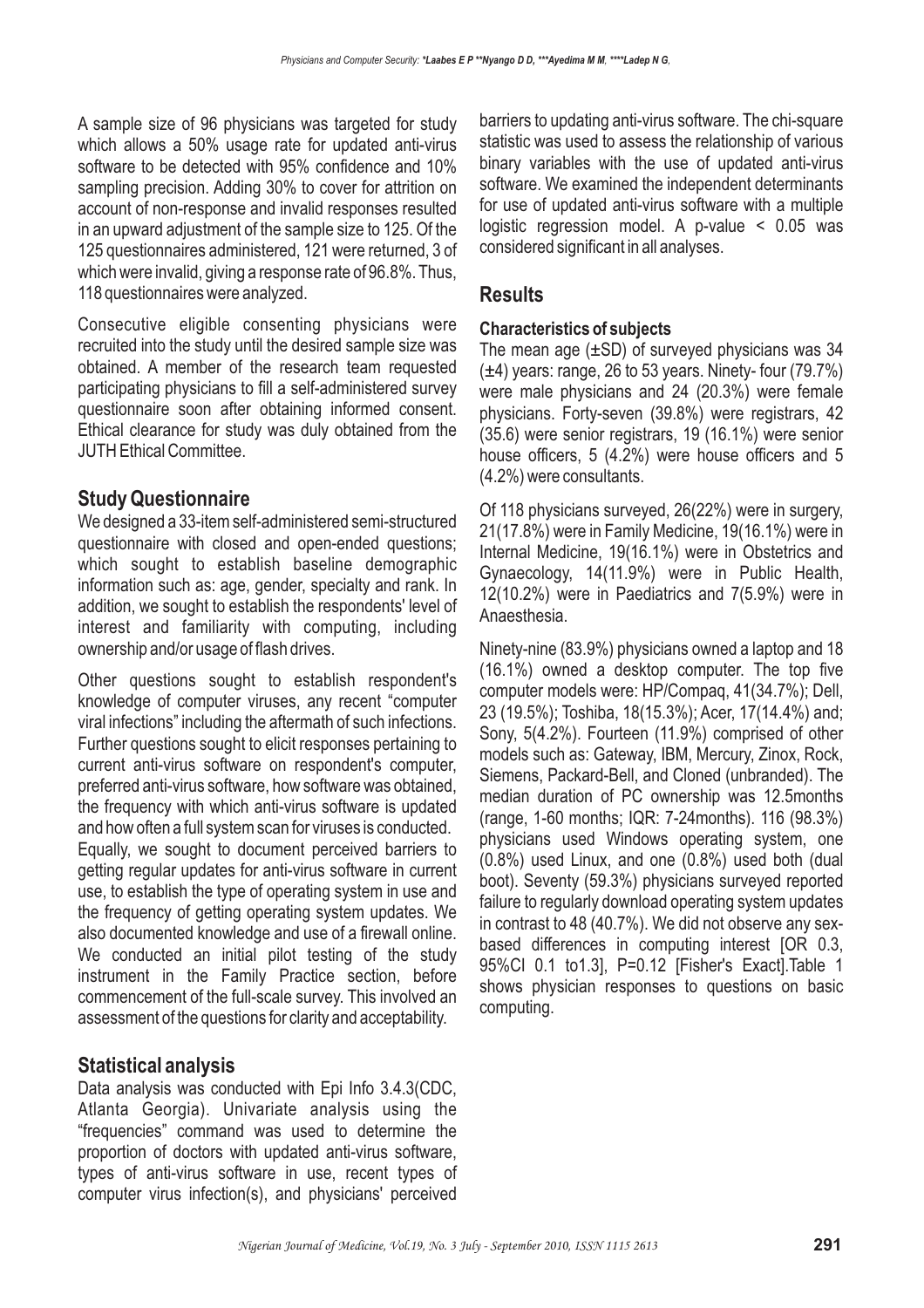A sample size of 96 physicians was targeted for study which allows a 50% usage rate for updated anti-virus software to be detected with 95% confidence and 10% sampling precision. Adding 30% to cover for attrition on account of non-response and invalid responses resulted in an upward adjustment of the sample size to 125. Of the 125 questionnaires administered, 121 were returned, 3 of which were invalid, giving a response rate of 96.8%. Thus, 118 questionnaires were analyzed.

Consecutive eligible consenting physicians were recruited into the study until the desired sample size was obtained. A member of the research team requested participating physicians to fill a self-administered survey questionnaire soon after obtaining informed consent. Ethical clearance for study was duly obtained from the JUTH Ethical Committee.

# **Study Questionnaire**

We designed a 33-item self-administered semi-structured questionnaire with closed and open-ended questions; which sought to establish baseline demographic information such as: age, gender, specialty and rank. In addition, we sought to establish the respondents' level of interest and familiarity with computing, including ownership and/or usage of flash drives.

Other questions sought to establish respondent's knowledge of computer viruses, any recent "computer viral infections" including the aftermath of such infections. Further questions sought to elicit responses pertaining to current anti-virus software on respondent's computer, preferred anti-virus software, how software was obtained, the frequency with which anti-virus software is updated and how often a full system scan for viruses is conducted.

Equally, we sought to document perceived barriers to getting regular updates for anti-virus software in current use, to establish the type of operating system in use and the frequency of getting operating system updates. We also documented knowledge and use of a firewall online. We conducted an initial pilot testing of the study instrument in the Family Practice section, before commencement of the full-scale survey. This involved an assessment of the questions for clarity and acceptability.

# **Statistical analysis**

Data analysis was conducted with Epi Info 3.4.3(CDC, Atlanta Georgia). Univariate analysis using the "frequencies" command was used to determine the proportion of doctors with updated anti-virus software, types of anti-virus software in use, recent types of computer virus infection(s), and physicians' perceived barriers to updating anti-virus software. The chi-square statistic was used to assess the relationship of various binary variables with the use of updated anti-virus software. We examined the independent determinants for use of updated anti-virus software with a multiple logistic regression model. A p-value < 0.05 was considered significant in all analyses.

# **Results**

### **Characteristics of subjects**

The mean age (±SD) of surveyed physicians was 34  $(\pm 4)$  years: range, 26 to 53 years. Ninety-four (79.7%) were male physicians and 24 (20.3%) were female physicians. Forty-seven (39.8%) were registrars, 42 (35.6) were senior registrars, 19 (16.1%) were senior house officers, 5 (4.2%) were house officers and 5 (4.2%) were consultants.

Of 118 physicians surveyed, 26(22%) were in surgery, 21(17.8%) were in Family Medicine, 19(16.1%) were in Internal Medicine, 19(16.1%) were in Obstetrics and Gynaecology, 14(11.9%) were in Public Health, 12(10.2%) were in Paediatrics and 7(5.9%) were in Anaesthesia.

Ninety-nine (83.9%) physicians owned a laptop and 18 (16.1%) owned a desktop computer. The top five computer models were: HP/Compaq, 41(34.7%); Dell, 23 (19.5%); Toshiba, 18(15.3%); Acer, 17(14.4%) and; Sony, 5(4.2%). Fourteen (11.9%) comprised of other models such as: Gateway, IBM, Mercury, Zinox, Rock, Siemens, Packard-Bell, and Cloned (unbranded). The median duration of PC ownership was 12.5months (range, 1-60 months; IQR: 7-24months). 116 (98.3%) physicians used Windows operating system, one (0.8%) used Linux, and one (0.8%) used both (dual boot). Seventy (59.3%) physicians surveyed reported failure to regularly download operating system updates in contrast to 48 (40.7%). We did not observe any sexbased differences in computing interest [OR 0.3, 95%CI 0.1 to1.3], P=0.12 [Fisher's Exact].Table 1 shows physician responses to questions on basic computing.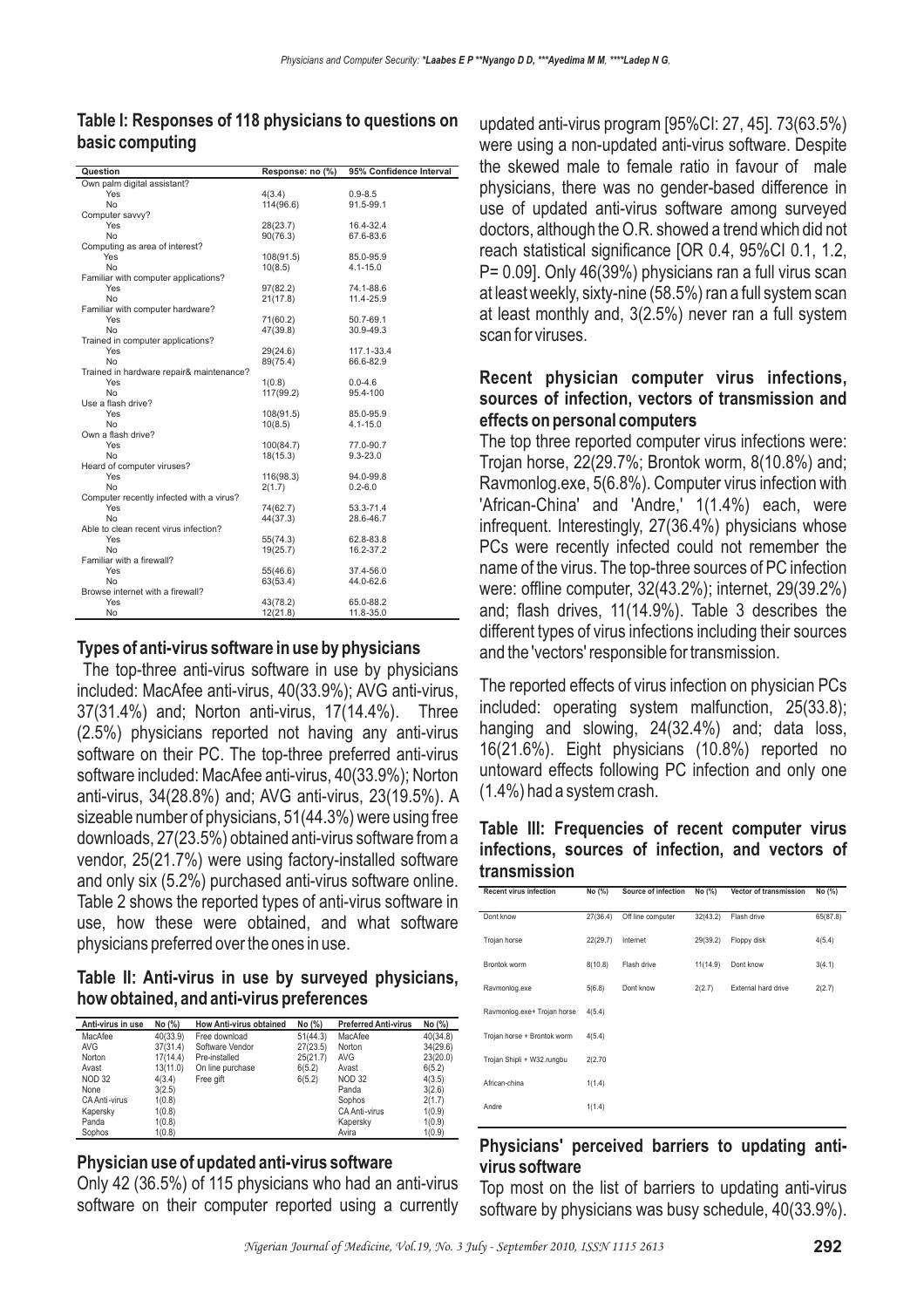| Question                                 | Response: no (%) | 95% Confidence Interval |
|------------------------------------------|------------------|-------------------------|
| Own palm digital assistant?              |                  |                         |
| Yes                                      | 4(3.4)           | $0.9 - 8.5$             |
| <b>No</b>                                | 114(96.6)        | 91.5-99.1               |
| Computer savvy?                          |                  |                         |
| Yes                                      | 28(23.7)         | 16.4-32.4               |
| <b>No</b>                                | 90(76.3)         | 67.6-83.6               |
| Computing as area of interest?           |                  |                         |
| Yes                                      | 108(91.5)        | 85.0-95.9               |
| No                                       | 10(8.5)          | 4.1-15.0                |
| Familiar with computer applications?     |                  |                         |
| Yes                                      | 97(82.2)         | 74.1-88.6               |
| <b>No</b>                                | 21(17.8)         | 11.4-25.9               |
| Familiar with computer hardware?         |                  |                         |
| Yes                                      | 71(60.2)         | 50.7-69.1               |
| <b>No</b>                                | 47(39.8)         | 30.9-49.3               |
| Trained in computer applications?        |                  |                         |
| Yes                                      | 29(24.6)         | 117.1-33.4              |
| <b>No</b>                                | 89(75.4)         | 66.6-82.9               |
| Trained in hardware repair& maintenance? |                  |                         |
| Yes                                      | 1(0.8)           | $0.0 - 4.6$             |
| N <sub>0</sub>                           | 117(99.2)        | 95.4-100                |
| Use a flash drive?                       |                  |                         |
| Yes                                      | 108(91.5)        | 85.0-95.9               |
| <b>No</b>                                | 10(8.5)          | 4.1-15.0                |
| Own a flash drive?                       |                  |                         |
| Yes                                      | 100(84.7)        | 77.0-90.7               |
| <b>No</b>                                | 18(15.3)         | $9.3 - 23.0$            |
| Heard of computer viruses?               |                  |                         |
| Yes                                      | 116(98.3)        | 94.0-99.8               |
| <b>No</b>                                | 2(1.7)           | $0.2 - 6.0$             |
| Computer recently infected with a virus? |                  |                         |
| Yes                                      | 74(62.7)         | 53.3-71.4               |
| N <sub>0</sub>                           | 44(37.3)         | 28.6-46.7               |
| Able to clean recent virus infection?    |                  |                         |
| Yes                                      | 55(74.3)         | 62.8-83.8               |
| <b>No</b>                                | 19(25.7)         | 16.2-37.2               |
| Familiar with a firewall?                |                  |                         |
| Yes                                      | 55(46.6)         | 37.4-56.0               |
| <b>No</b>                                | 63(53.4)         | 44.0-62.6               |
| Browse internet with a firewall?         |                  |                         |
| Yes                                      | 43(78.2)         | 65.0-88.2               |
| No                                       | 12(21.8)         | 11.8-35.0               |
|                                          |                  |                         |

### **Table I: Responses of 118 physicians to questions on basic computing**

#### **Types of anti-virus software in use by physicians**

The top-three anti-virus software in use by physicians included: MacAfee anti-virus, 40(33.9%); AVG anti-virus, 37(31.4%) and; Norton anti-virus, 17(14.4%). Three (2.5%) physicians reported not having any anti-virus software on their PC. The top-three preferred anti-virus software included: MacAfee anti-virus, 40(33.9%); Norton anti-virus, 34(28.8%) and; AVG anti-virus, 23(19.5%). A sizeable number of physicians, 51(44.3%) were using free downloads, 27(23.5%) obtained anti-virus software from a vendor, 25(21.7%) were using factory-installed software and only six (5.2%) purchased anti-virus software online. Table 2 shows the reported types of anti-virus software in use, how these were obtained, and what software physicians preferred over the ones in use.

#### **Table II: Anti-virus in use by surveyed physicians, how obtained, and anti-virus preferences**

| Anti-virus in use | No (%)   | <b>How Anti-virus obtained</b> | No (%)   | <b>Preferred Anti-virus</b> | No (%)   |
|-------------------|----------|--------------------------------|----------|-----------------------------|----------|
| MacAfee           | 40(33.9) | Free download                  | 51(44.3) | MacAfee                     | 40(34.8) |
| <b>AVG</b>        | 37(31.4) | Software Vendor                | 27(23.5) | Norton                      | 34(29.6) |
| Norton            | 17(14.4) | Pre-installed                  | 25(21.7) | <b>AVG</b>                  | 23(20.0) |
| Avast             | 13(11.0) | On line purchase               | 6(5.2)   | Avast                       | 6(5.2)   |
| <b>NOD 32</b>     | 4(3.4)   | Free gift                      | 6(5.2)   | <b>NOD 32</b>               | 4(3.5)   |
| None              | 3(2.5)   |                                |          | Panda                       | 3(2.6)   |
| CA Anti-virus     | 1(0.8)   |                                |          | Sophos                      | 2(1.7)   |
| Kapersky          | 1(0.8)   |                                |          | CA Anti-virus               | 1(0.9)   |
| Panda             | 1(0.8)   |                                |          | Kapersky                    | 1(0.9)   |
| Sophos            | 1(0.8)   |                                |          | Avira                       | 1(0.9)   |

### **Physician use of updated anti-virus software**

Only 42 (36.5%) of 115 physicians who had an anti-virus software on their computer reported using a currently updated anti-virus program [95%CI: 27, 45]. 73(63.5%) were using a non-updated anti-virus software. Despite the skewed male to female ratio in favour of male physicians, there was no gender-based difference in use of updated anti-virus software among surveyed doctors, although the O.R. showed a trend which did not reach statistical significance [OR 0.4, 95%CI 0.1, 1.2, P= 0.09]. Only 46(39%) physicians ran a full virus scan at least weekly, sixty-nine (58.5%) ran a full system scan at least monthly and, 3(2.5%) never ran a full system scan for viruses.

#### **Recent physician computer virus infections, sources of infection, vectors of transmission and effects on personal computers**

The top three reported computer virus infections were: Trojan horse, 22(29.7%; Brontok worm, 8(10.8%) and; Ravmonlog.exe, 5(6.8%). Computer virus infection with 'African-China' and 'Andre,' 1(1.4%) each, were infrequent. Interestingly, 27(36.4%) physicians whose PCs were recently infected could not remember the name of the virus. The top-three sources of PC infection were: offline computer, 32(43.2%); internet, 29(39.2%) and; flash drives, 11(14.9%). Table 3 describes the different types of virus infections including their sources and the 'vectors' responsible for transmission.

The reported effects of virus infection on physician PCs included: operating system malfunction, 25(33.8); hanging and slowing, 24(32.4%) and; data loss, 16(21.6%). Eight physicians (10.8%) reported no untoward effects following PC infection and only one (1.4%) had a system crash.

#### **Table III: Frequencies of recent computer virus infections, sources of infection, and vectors of transmission**

| <b>Recent virus infection</b> | No (%)   | Source of infection | No (%)   | Vector of transmission | No (%)   |
|-------------------------------|----------|---------------------|----------|------------------------|----------|
| Dont know                     | 27(36.4) | Off line computer   | 32(43.2) | Flash drive            | 65(87.8) |
| Trojan horse                  | 22(29.7) | Internet            | 29(39.2) | Floppy disk            | 4(5.4)   |
| Brontok worm                  | 8(10.8)  | Flash drive         | 11(14.9) | Dont know              | 3(4.1)   |
| Ravmonlog.exe                 | 5(6.8)   | Dont know           | 2(2.7)   | External hard drive    | 2(2.7)   |
| Ravmonlog.exe+ Trojan horse   | 4(5.4)   |                     |          |                        |          |
| Trojan horse + Brontok worm   | 4(5.4)   |                     |          |                        |          |
| Trojan Shipli + W32.rungbu    | 2(2.70)  |                     |          |                        |          |
| African-china                 | 1(1.4)   |                     |          |                        |          |
| Andre                         | 1(1.4)   |                     |          |                        |          |

### **Physicians' perceived barriers to updating antivirus software**

Top most on the list of barriers to updating anti-virus software by physicians was busy schedule, 40(33.9%).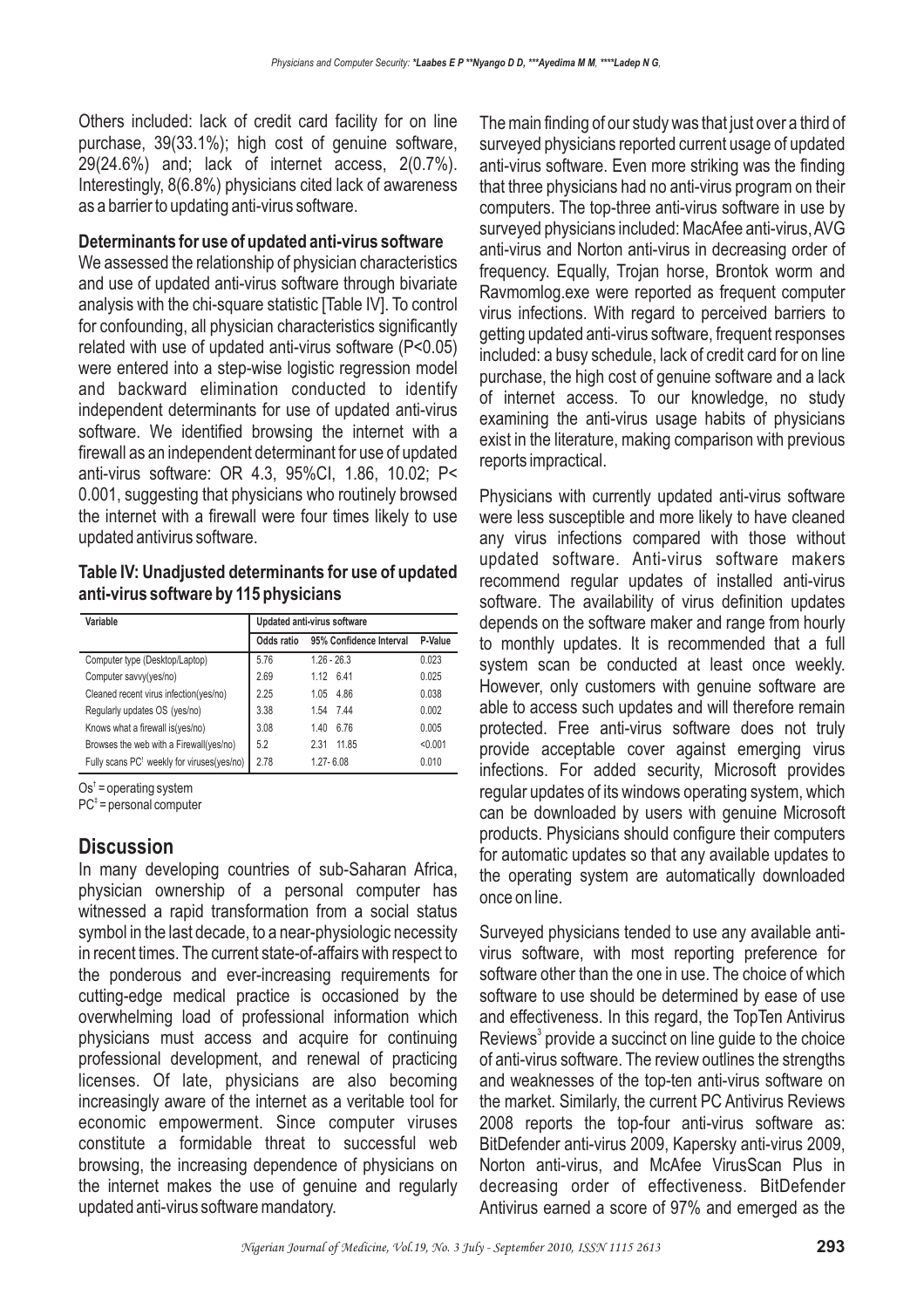Others included: lack of credit card facility for on line purchase, 39(33.1%); high cost of genuine software, 29(24.6%) and; lack of internet access, 2(0.7%). Interestingly, 8(6.8%) physicians cited lack of awareness as a barrier to updating anti-virus software.

#### **Determinants for use of updated anti-virus software**

We assessed the relationship of physician characteristics and use of updated anti-virus software through bivariate analysis with the chi-square statistic [Table IV]. To control for confounding, all physician characteristics significantly related with use of updated anti-virus software (P<0.05) were entered into a step-wise logistic regression model and backward elimination conducted to identify independent determinants for use of updated anti-virus software. We identified browsing the internet with a firewall as an independent determinant for use of updated anti-virus software: OR 4.3, 95%CI, 1.86, 10.02; P< 0.001, suggesting that physicians who routinely browsed the internet with a firewall were four times likely to use updated antivirus software.

#### **Table IV: Unadjusted determinants for use of updated anti-virus software by 115 physicians**

| Variable                                   | Updated anti-virus software |                         |         |
|--------------------------------------------|-----------------------------|-------------------------|---------|
|                                            | Odds ratio                  | 95% Confidence Interval | P-Value |
| Computer type (Desktop/Laptop)             | 5.76                        | $1.26 - 26.3$           | 0.023   |
| Computer savvy(yes/no)                     | 2.69                        | 1.12 6.41               | 0.025   |
| Cleaned recent virus infection(yes/no)     | 2.25                        | 4.86<br>1.05            | 0.038   |
| Regularly updates OS (yes/no)              | 3.38                        | 1.54 7.44               | 0.002   |
| Knows what a firewall is (yes/no)          | 3.08                        | 6.76<br>1.40            | 0.005   |
| Browses the web with a Firewall(yes/no)    | 5.2                         | 11.85<br>2.31           | < 0.001 |
| Fully scans PC! weekly for viruses(yes/no) | 2.78                        | $1.27 - 6.08$           | 0.010   |

 $Os<sup>†</sup> = operating system$ 

 $PC^{\ddagger}$  = personal computer

### **Discussion**

In many developing countries of sub-Saharan Africa, physician ownership of a personal computer has witnessed a rapid transformation from a social status symbol in the last decade, to a near-physiologic necessity in recent times. The current state-of-affairs with respect to the ponderous and ever-increasing requirements for cutting-edge medical practice is occasioned by the overwhelming load of professional information which physicians must access and acquire for continuing professional development, and renewal of practicing licenses. Of late, physicians are also becoming increasingly aware of the internet as a veritable tool for economic empowerment. Since computer viruses constitute a formidable threat to successful web browsing, the increasing dependence of physicians on the internet makes the use of genuine and regularly updated anti-virus software mandatory.

The main finding of our study was that just over a third of surveyed physicians reported current usage of updated anti-virus software. Even more striking was the finding that three physicians had no anti-virus program on their computers. The top-three anti-virus software in use by surveyed physicians included: MacAfee anti-virus,AVG anti-virus and Norton anti-virus in decreasing order of frequency. Equally, Trojan horse, Brontok worm and Ravmomlog.exe were reported as frequent computer virus infections. With regard to perceived barriers to getting updated anti-virus software, frequent responses included: a busy schedule, lack of credit card for on line purchase, the high cost of genuine software and a lack of internet access. To our knowledge, no study examining the anti-virus usage habits of physicians exist in the literature, making comparison with previous reports impractical.

Physicians with currently updated anti-virus software were less susceptible and more likely to have cleaned any virus infections compared with those without updated software. Anti-virus software makers recommend regular updates of installed anti-virus software. The availability of virus definition updates depends on the software maker and range from hourly to monthly updates. It is recommended that a full system scan be conducted at least once weekly. However, only customers with genuine software are able to access such updates and will therefore remain protected. Free anti-virus software does not truly provide acceptable cover against emerging virus infections. For added security, Microsoft provides regular updates of its windows operating system, which can be downloaded by users with genuine Microsoft products. Physicians should configure their computers for automatic updates so that any available updates to the operating system are automatically downloaded once on line.

Surveyed physicians tended to use any available antivirus software, with most reporting preference for software other than the one in use. The choice of which software to use should be determined by ease of use and effectiveness. In this regard, the TopTen Antivirus Reviews<sup>3</sup> provide a succinct on line guide to the choice of anti-virus software. The review outlines the strengths and weaknesses of the top-ten anti-virus software on the market. Similarly, the current PC Antivirus Reviews 2008 reports the top-four anti-virus software as: BitDefender anti-virus 2009, Kapersky anti-virus 2009, Norton anti-virus, and McAfee VirusScan Plus in decreasing order of effectiveness. BitDefender Antivirus earned a score of 97% and emerged as the